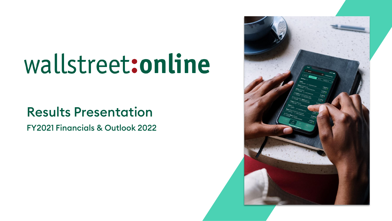# wallstreet:online

# Results Presentation

FY2021 Financials & Outlook 2022

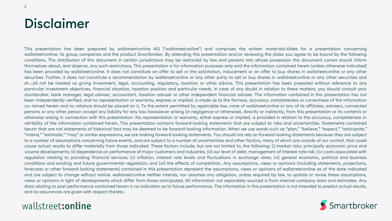# Disclaimer

This presentation has been prepared by wallstreet:online AG ("wallstreet:online") and comprises the written materials/slides for a presentation concerning wallstreet:online, its group companies and the product Smartbroker. By attending this presentation and/or reviewing the slides you agree to be bound by the following conditions. The distribution of this document in certain jurisdictions may be restricted by law and persons into whose possession this document comes should inform themselves about, and observe, any such restrictions. This presentation is for information purposes only and the information contained herein (unless otherwise indicated) 1 has been provided by wallstreet:online. It does not constitute an offer to sell or the solicitation, inducement or an offer to buy shares in wallstreet:online or any other securities. Further, it does not constitute a recommendation by wallstreet:online or any other party to sell or buy shares in wallstreet:online or any other securities and should not be treated as giving investment, legal, accounting, regulatory, taxation or other advice. This presentation has been prepared without reference to any should not be treated as giving investment, legal, accounting, regulatory, taxation or other advice. This presentation has been prepared without reference to any<br>particular investment objectives, financial situation, taxat stockbroker, bank manager, legal adviser, accountant, taxation adviser or other independent financial adviser. The information contained in this presentation has not been independently verified, and no representation or warranty, express or implied, is made as to the fairness, accuracy, completeness or correctness of the information contained herein and no reliance should be placed on it. To the extent permitted by applicable law, none of wallstreet:online or any of its affiliates, advisers, connected 3 persons or any other person accept any liability for any loss howsoever arising (in negligence or otherwise), directly or indirectly, from this presentation or its contents or otherwise arising in connection with this presentation. No representation or warranty, either express or implied, is provided in relation to the accuracy, completeness or reliability of the information contained herein. This presentation contains forward-looking statements that are subject to risks and uncertainties. Statements contained reimbility of the imormation contained nerein. This presentation contains forward-looking statements that are subject to risks and uncertainties. Statements contained<br>herein that are not statements of historical fact may b "intend," "estimate," "may" or similar expressions, we are making forward-looking statements. You should not rely on forward-looking statements because they are subject to a number of assumptions concerning future events, and are subject to a number of uncertainties and other factors, many of which are outside of our control, that could cause actual results to differ materially from those indicated. These factors include, but are not limited to, the following: (i) market risks: principally economic price and volume developments; (ii) dependence on performance of major customers and industries, (iii) our level of debt, management of interest rate risk; (iv) costs associated with regulation relating to providing financial services; (v) inflation, interest rate levels and fluctuations in exchange rates; (vi) general economic, political and business conditions and existing and future governmental regulation; and (vii) the effects of competition. Any assumptions, views or opinions (including statements, projections, forecasts or other forward-looking statements) contained in this presentation represent the assumptions, views or opinions of wallstreet:online as of the date indicated and are subject to change without notice. wallstreet:online neither intends, nor assumes any obligation, unless required by law, to update or revise these assumptions, views or opinions in light of developments which differ from those anticipated. All information not separately sourced is from internal company data and estimates. Any data relating to past performance contained herein is no indication as to future performance. The information in this presentation is not intended to predict actual results, and no assurances are given with respect thereto.

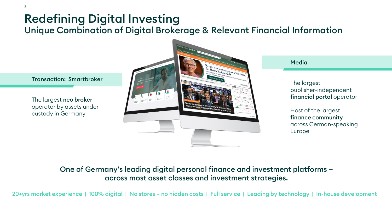# Redefining Digital Investing Unique Combination of Digital Brokerage & Relevant Financial Information

Transaction: Smartbroker

The largest neo broker operator by assets under custody in Germany



Media

The largest publisher-independent financial portal operator

Host of the largest finance community across German-speaking Europe

#### One of Germany's leading digital personal finance and investment platforms – across most asset classes and investment strategies.

20+yrs market experience | 100% digital | No stores – no hidden costs | Full service | Leading by technology | In-house development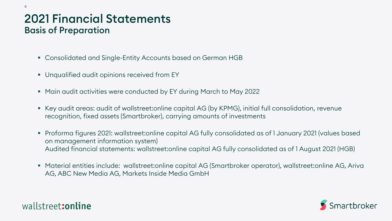## 2021 Financial Statements Basis of Preparation

- Consolidated and Single-Entity Accounts based on German HGB
- Unqualified audit opinions received from EY
- Main audit activities were conducted by EY during March to May 2022
- Key audit areas: audit of wallstreet:online capital AG (by KPMG), initial full consolidation, revenue recognition, fixed assets (Smartbroker), carrying amounts of investments
- Proforma figures 2021: wallstreet:online capital AG fully consolidated as of 1 January 2021 (values based on management information system) Audited financial statements: wallstreet:online capital AG fully consolidated as of 1 August 2021 (HGB)
- Material entities include: wallstreet:online capital AG (Smartbroker operator), wallstreet:online AG, Ariva AG, ABC New Media AG, Markets Inside Media GmbH

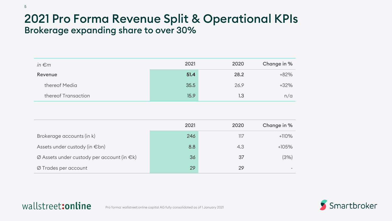## 2021 Pro Forma Revenue Split & Operational KPIs Brokerage expanding share to over 30%

| in $\epsilon$ m     | 2021 | 2020 | Change in % |
|---------------------|------|------|-------------|
| Revenue             | 51.4 | 28.2 | $+82%$      |
| thereof Media       | 35.5 | 26.9 | $+32%$      |
| thereof Transaction | 15.9 | 1.3  | n/a         |

|                                                             | 2021 | 2020 | Change in % |
|-------------------------------------------------------------|------|------|-------------|
| Brokerage accounts (in k)                                   | 246  |      | $+110%$     |
| Assets under custody (in $\in$ bn)                          | 8.8  | 4.3  | $+105%$     |
| $\varnothing$ Assets under custody per account (in $\in$ k) | 36   | 37   | (3%)        |
| Ø Trades per account                                        | 29   | 29   |             |

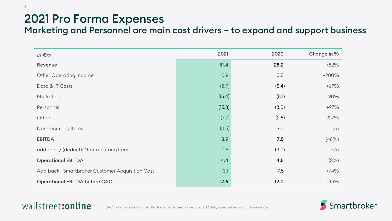# 2021 Pro Forma Expenses

6

Marketing and Personnel are main cost drivers – to expand and support business

| in $\epsilon$ m                                 | 2021   | 2020  | Change in % |
|-------------------------------------------------|--------|-------|-------------|
| Revenue                                         | 51.4   | 28.2  | $+82%$      |
| <b>Other Operating Income</b>                   | 0.9    | 0.3   | +200%       |
| Data & IT Costs                                 | (8.9)  | (5.4) | $+67%$      |
| Marketing                                       | (15.4) | (8.1) | $+90%$      |
| Personnel                                       | (15.8) | (8.0) | $+97%$      |
| Other                                           | (7.7)  | (2.5) | $+227%$     |
| Non-recurring Items                             | (0.5)  | 3.0   | n/a         |
| <b>EBITDA</b>                                   | 3.9    | 7.5   | (48%)       |
| add back/ (deduct): Non-recurring Items         | 0.5    | (3.0) | n/a         |
| <b>Operational EBITDA</b>                       | 4.4    | 4.5   | (2%)        |
| Add back: Smartbroker Customer Acquisition Cost | 13.1   | 7.5   | $+74%$      |
| <b>Operational EBITDA before CAC</b>            | 17.5   | 12.0  | $+45%$      |

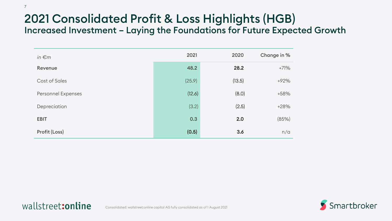# 2021 Consolidated Profit & Loss Highlights (HGB) Increased Investment – Laying the Foundations for Future Expected Growth

| in $\epsilon$ m      | 2021   | 2020   | Change in % |
|----------------------|--------|--------|-------------|
| Revenue              | 48.2   | 28.2   | $+71%$      |
| <b>Cost of Sales</b> | (25.9) | (13.5) | $+92%$      |
| Personnel Expenses   | (12.6) | (8.0)  | $+58%$      |
| Depreciation         | (3.2)  | (2.5)  | $+28%$      |
| <b>EBIT</b>          | 0.3    | 2.0    | (85%)       |
| Profit (Loss)        | (0.5)  | 3.6    | n/a         |

7

wallstreet: online

Smartbroker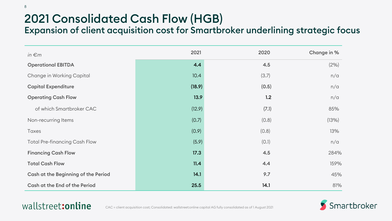# 2021 Consolidated Cash Flow (HGB)

Expansion of client acquisition cost for Smartbroker underlining strategic focus

| in $\epsilon$ m                      | 2021   | 2020  | Change in % |
|--------------------------------------|--------|-------|-------------|
| <b>Operational EBITDA</b>            | 4.4    | 4.5   | (2%)        |
| Change in Working Capital            | 10.4   | (3.7) | n/a         |
| <b>Capital Expenditure</b>           | (18.9) | (0.5) | n/a         |
| <b>Operating Cash Flow</b>           | 13.9   | 1.2   | n/a         |
| of which Smartbroker CAC             | (12.9) | (7.1) | 85%         |
| Non-recurring Items                  | (0.7)  | (0.8) | (13%)       |
| <b>Taxes</b>                         | (0.9)  | (0.8) | 13%         |
| <b>Total Pre-financing Cash Flow</b> | (5.9)  | (0.1) | n/a         |
| <b>Financing Cash Flow</b>           | 17.3   | 4.5   | 284%        |
| <b>Total Cash Flow</b>               | 11.4   | 4.4   | 159%        |
| Cash at the Beginning of the Period  | 14.1   | 9.7   | 45%         |
| Cash at the End of the Period        | 25.5   | 14.1  | 81%         |

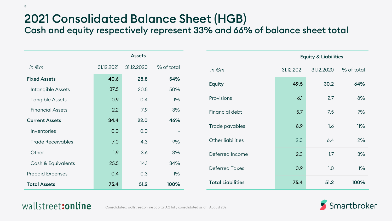# 2021 Consolidated Balance Sheet (HGB)

Cash and equity respectively represent 33% and 66% of balance sheet total

|                          | <b>Assets</b> |            |            |
|--------------------------|---------------|------------|------------|
| in $\epsilon$ m          | 31.12.2021    | 31.12.2020 | % of total |
| <b>Fixed Assets</b>      | 40.6          | 28.8       | 54%        |
| Intangible Assets        | 37.5          | 20.5       | 50%        |
| <b>Tangible Assets</b>   | 0.9           | 0.4        | $1\%$      |
| <b>Financial Assets</b>  | 2.2           | 7.9        | 3%         |
| <b>Current Assets</b>    | 34.4          | 22.0       | 46%        |
| Inventories              | 0.0           | 0.0        |            |
| <b>Trade Receivables</b> | 7.0           | 4.3        | 9%         |
| Other                    | 1.9           | 3.6        | 3%         |
| Cash & Equivalents       | 25.5          | 14.1       | 34%        |
| <b>Prepaid Expenses</b>  | 0.4           | 0.3        | $1\%$      |
| <b>Total Assets</b>      | 75.4          | 51.2       | 100%       |

|                          | <b>Equity &amp; Liabilities</b> |            |            |
|--------------------------|---------------------------------|------------|------------|
| in $\epsilon$ m          | 31.12.2021                      | 31.12.2020 | % of total |
| <b>Equity</b>            | 49.5                            | 30.2       | 64%        |
| Provisions               | 6.1                             | 2.7        | 8%         |
| Financial debt           | 5.7                             | 7.5        | 7%         |
| Trade payables           | 8.9                             | 1.6        | 11%        |
| Other liabilities        | 2.0                             | 6.4        | 2%         |
| Deferred Income          | 2.3                             | 1.7        | 3%         |
| <b>Deferred Taxes</b>    | 0.9                             | 1.0        | $1\%$      |
| <b>Total Liabilities</b> | 75.4                            | 51.2       | 100%       |

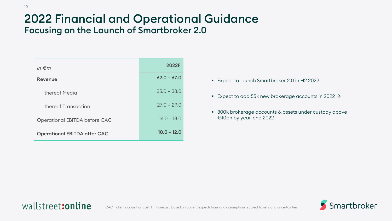## 2022 Financial and Operational Guidance Focusing on the Launch of Smartbroker 2.0

| in $\epsilon$ m                     | 2022F         |
|-------------------------------------|---------------|
| Revenue                             | $62.0 - 67.0$ |
| thereof Media                       | $35.0 - 38.0$ |
| thereof Transaction                 | $27.0 - 29.0$ |
| Operational EBITDA before CAC       | $16.0 - 18.0$ |
| <b>Operational EBITDA after CAC</b> | $10.0 - 12.0$ |

- Expect to launch Smartbroker 2.0 in H2 2022
- Expect to add 55k new brokerage accounts in 2022  $\rightarrow$
- 300k brokerage accounts & assets under custody above €10bn by year-end 2022

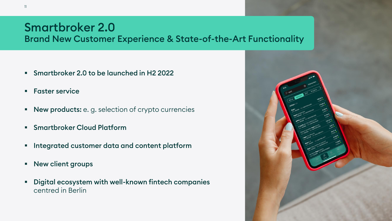## Smartbroker 2.0 Brand New Customer Experience & State-of-the-Art Functionality

- Smartbroker 2.0 to be launched in H2 2022
- Faster service
- **New products:** e.g. selection of crypto currencies
- Smartbroker Cloud Platform
- Integrated customer data and content platform
- New client groups
- Digital ecosystem with well-known fintech companies centred in Berlin

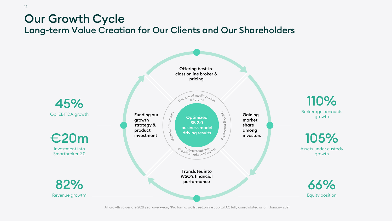## Our Growth Cycle Long-term Value Creation for Our Clients and Our Shareholders



All growth values are 2021 year-over-year; \*Pro forma: wallstreet:online capital AG fully consolidated as of 1 January 2021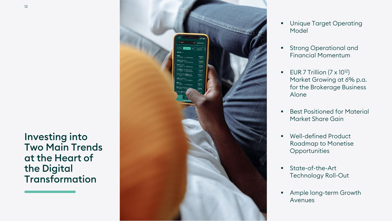#### Investing into Two Main Trends at the Heart of the Digital Transformation



- **Unique Target Operating** Model
- **•** Strong Operational and Financial Momentum
- **EUR 7 Trillion**  $(7 \times 10^{12})$ Market Growing at 6% p.a. for the Brokerage Business Alone
- Best Positioned for Material Market Share Gain
- Well -defined Product Roadmap to Monetise **Opportunities**
- **E** State-of-the-Art Technology Roll -Out
- **EXEC** Ample long-term Growth Avenues